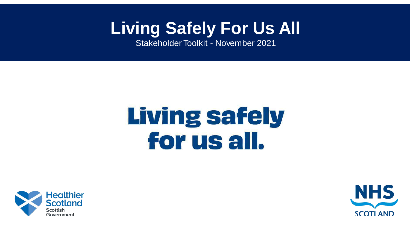# **Living Safely For Us All**

Stakeholder Toolkit - November 2021

# **Living safely** for us all.



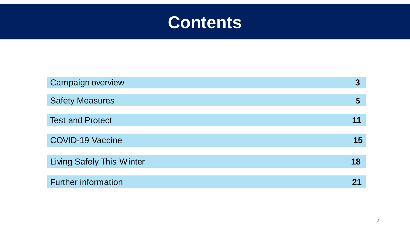

| <b>Campaign overview</b>         | 3  |
|----------------------------------|----|
| <b>Safety Measures</b>           |    |
|                                  |    |
| <b>Test and Protect</b>          |    |
|                                  |    |
| <b>COVID-19 Vaccine</b>          | 15 |
|                                  |    |
| <b>Living Safely This Winter</b> | 18 |
|                                  |    |
| <b>Further information</b>       |    |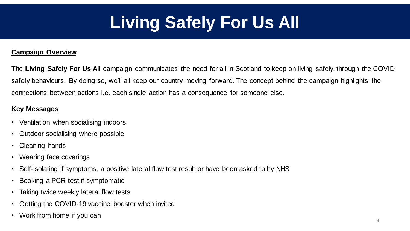# **Living Safely For Us All**

#### **Campaign Overview**

The **Living Safely For Us All** campaign communicates the need for all in Scotland to keep on living safely, through the COVID safety behaviours. By doing so, we'll all keep our country moving forward. The concept behind the campaign highlights the connections between actions i.e. each single action has a consequence for someone else.

#### **Key Messages**

- Ventilation when socialising indoors
- Outdoor socialising where possible
- Cleaning hands
- Wearing face coverings
- Self-isolating if symptoms, a positive lateral flow test result or have been asked to by NHS
- Booking a PCR test if symptomatic
- Taking twice weekly lateral flow tests
- Getting the COVID-19 vaccine booster when invited
- Work from home if you can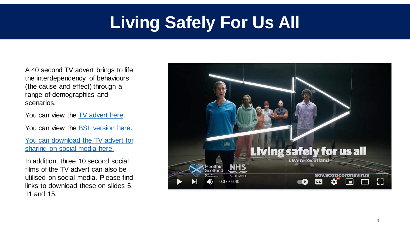# **Living Safely For Us All**

A 40 second TV advert brings to life the interdependency of behaviours (the cause and effect) through a range of demographics and scenarios.

You can view the [TV advert here.](https://www.youtube.com/watch?v=Q0J9EnwA6us)

You can view the [BSL version here.](https://youtu.be/3xg6U26JnJY)

[You can download the TV advert for](https://we.tl/t-ggU329iDah) sharing on social media here.

In addition, three 10 second social films of the TV advert can also be utilised on social media. Please find links to download these on slides 5, 11 and 15.

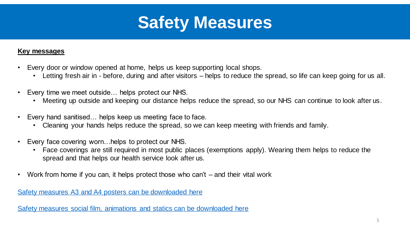

#### **Key messages**

- Every door or window opened at home, helps us keep supporting local shops.
	- Letting fresh air in before, during and after visitors helps to reduce the spread, so life can keep going for us all.
- Every time we meet outside… helps protect our NHS.
	- Meeting up outside and keeping our distance helps reduce the spread, so our NHS can continue to look after us.
- Every hand sanitised... helps keep us meeting face to face.
	- Cleaning your hands helps reduce the spread, so we can keep meeting with friends and family.
- Every face covering worn…helps to protect our NHS.
	- Face coverings are still required in most public places (exemptions apply). Wearing them helps to reduce the spread and that helps our health service look after us.
- Work from home if you can, it helps protect those who can't and their vital work

Safety measures A3 and A4 [posters can be downloaded here](https://we.tl/t-E0y6j4UtzB)

[Safety measures social film, animations and statics can be downloaded here](https://we.tl/t-yAAwT8b9H0)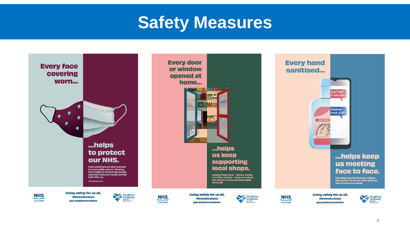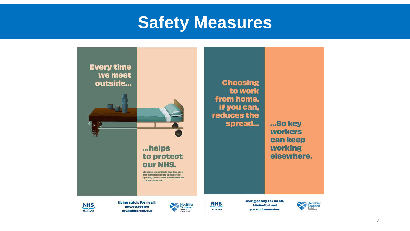

**NHS** SCOTLAND

Living safely for us all. #WeAreScotland gov.scot/coronavirus



**NHS** SCOTLAND

#WeAreScotland gov.scot/coronavirus





7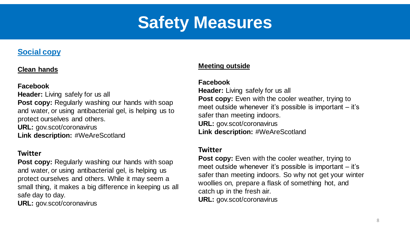#### **Social copy**

#### **Clean hands**

#### **Facebook**

**Header:** Living safely for us all **Post copy:** Regularly washing our hands with soap and water, or using antibacterial gel, is helping us to protect ourselves and others. **URL:** gov.scot/coronavirus

Link description: #WeAreScotland

#### **Twitter**

**Post copy:** Regularly washing our hands with soap and water, or using antibacterial gel, is helping us protect ourselves and others. While it may seem a small thing, it makes a big difference in keeping us all safe day to day.

**URL:** gov.scot/coronavirus

#### **Meeting outside**

#### **Facebook**

**Header:** Living safely for us all Post copy: Even with the cooler weather, trying to meet outside whenever it's possible is important – it's safer than meeting indoors. **URL:** gov.scot/coronavirus **Link description:** #WeAreScotland

#### **Twitter**

**Post copy:** Even with the cooler weather, trying to meet outside whenever it's possible is important – it's safer than meeting indoors. So why not get your winter woollies on, prepare a flask of something hot, and catch up in the fresh air. **URL:** gov.scot/coronavirus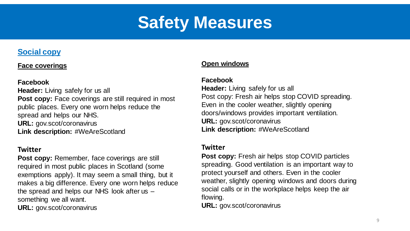#### **Social copy**

#### **Face coverings**

#### **Facebook**

**Header:** Living safely for us all **Post copy:** Face coverings are still required in most public places. Every one worn helps reduce the spread and helps our NHS. **URL:** gov.scot/coronavirus **Link description:** #WeAreScotland

#### **Twitter**

**Post copy:** Remember, face coverings are still required in most public places in Scotland (some exemptions apply). It may seem a small thing, but it makes a big difference. Every one worn helps reduce the spread and helps our NHS look after us – something we all want. **URL:** gov.scot/coronavirus

#### **Open windows**

#### **Facebook**

**Header:** Living safely for us all Post copy: Fresh air helps stop COVID spreading. Even in the cooler weather, slightly opening doors/windows provides important ventilation. **URL:** gov.scot/coronavirus **Link description: #WeAreScotland** 

#### **Twitter**

**Post copy:** Fresh air helps stop COVID particles spreading. Good ventilation is an important way to protect yourself and others. Even in the cooler weather, slightly opening windows and doors during social calls or in the workplace helps keep the air flowing.

**URL:** gov.scot/coronavirus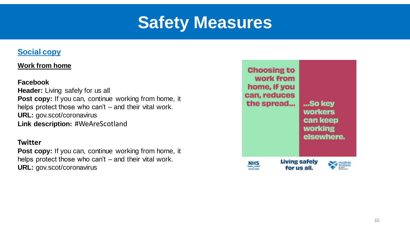#### **Social copy**

#### **Work from home**

#### **Facebook**

**Header:** Living safely for us all Post copy: If you can, continue working from home, it helps protect those who can't – and their vital work. **URL:** gov.scot/coronavirus **Link description:** #WeAreScotland

#### **Twitter**

**Post copy:** If you can, continue working from home, it helps protect those who can't – and their vital work. **URL:** gov.scot/coronavirus

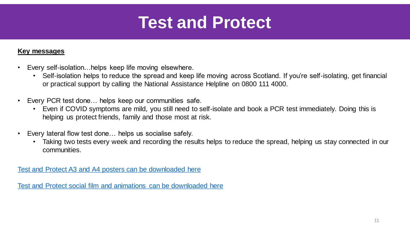#### **Key messages**

- Every self-isolation…helps keep life moving elsewhere.
	- Self-isolation helps to reduce the spread and keep life moving across Scotland. If you're self-isolating, get financial or practical support by calling the National Assistance Helpline on 0800 111 4000.
- Every PCR test done… helps keep our communities safe.
	- Even if COVID symptoms are mild, you still need to self-isolate and book a PCR test immediately. Doing this is helping us protect friends, family and those most at risk.
- Every lateral flow test done… helps us socialise safely.
	- Taking two tests every week and recording the results helps to reduce the spread, helping us stay connected in our communities.

Test and Protect A3 and A4 [posters can be downloaded here](https://we.tl/t-h673cbGTQB)

[Test and Protect social film and animations can be downloaded here](https://we.tl/t-nBDrEPby67)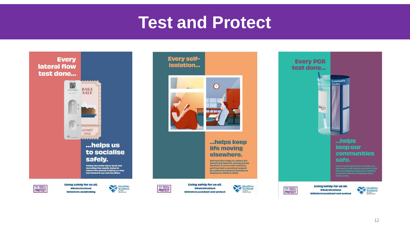



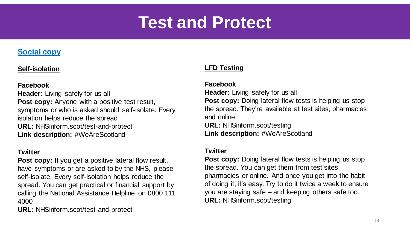#### **Social copy**

#### **Self-isolation**

#### **Facebook**

**Header:** Living safely for us all **Post copy:** Anyone with a positive test result, symptoms or who is asked should self-isolate. Every isolation helps reduce the spread **URL:** NHSinform.scot/test-and-protect **Link description:** #WeAreScotland

#### **Twitter**

**Post copy:** If you get a positive lateral flow result, have symptoms or are asked to by the NHS, please self-isolate. Every self-isolation helps reduce the spread. You can get practical or financial support by calling the National Assistance Helpline on 0800 111 4000

**URL:** NHSinform.scot/test-and-protect

#### **LFD Testing**

#### **Facebook**

**Header:** Living safely for us all **Post copy:** Doing lateral flow tests is helping us stop the spread. They're available at test sites, pharmacies and online.

**URL:** NHSinform.scot/testing **Link description: #WeAreScotland** 

#### **Twitter**

**Post copy:** Doing lateral flow tests is helping us stop the spread. You can get them from test sites, pharmacies or online. And once you get into the habit of doing it, it's easy. Try to do it twice a week to ensure you are staying safe – and keeping others safe too. **URL:** NHSinform.scot/testing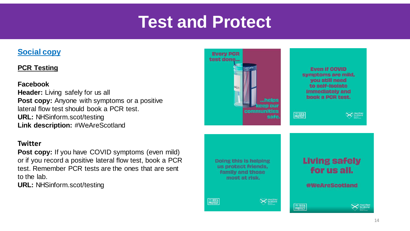#### **Social copy**

#### **PCR Testing**

#### **Facebook**

**Header:** Living safely for us all **Post copy:** Anyone with symptoms or a positive lateral flow test should book a PCR test. **URL:** NHSinform.scot/testing **Link description: #WeAreScotland** 

#### **Twitter**

**Post copy:** If you have COVID symptoms (even mild) or if you record a positive lateral flow test, book a PCR test. Remember PCR tests are the ones that are sent to the lab.

**URL:** NHSinform.scot/testing

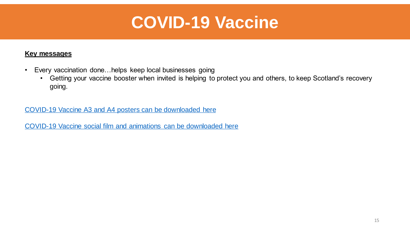### **COVID-19 Vaccine**

#### **Key messages**

- Every vaccination done…helps keep local businesses going
	- Getting your vaccine booster when invited is helping to protect you and others, to keep Scotland's recovery going.

#### COVID-19 Vaccine A3 and A4 [posters can be downloaded here](https://we.tl/t-ADXxHRQ3Ah)

[COVID-19 Vaccine social film and animations can be downloaded here](https://we.tl/t-d31oQSuYYc)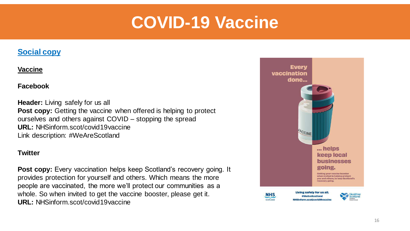### **COVID-19 Vaccine**

#### **Social copy**

#### **Vaccine**

#### **Facebook**

**Header:** Living safely for us all **Post copy:** Getting the vaccine when offered is helping to protect ourselves and others against COVID – stopping the spread **URL:** NHSinform.scot/covid19vaccine Link description: #WeAreScotland

#### **Twitter**

**Post copy:** Every vaccination helps keep Scotland's recovery going. It provides protection for yourself and others. Which means the more people are vaccinated, the more we'll protect our communities as a whole. So when invited to get the vaccine booster, please get it. **URL:** NHSinform.scot/covid19vaccine

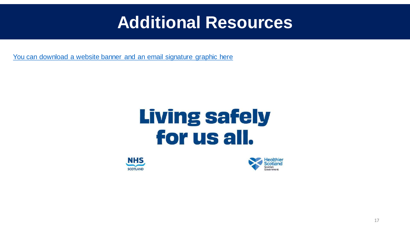### **Additional Resources**

[You can download a website banner and an email signature graphic here](https://we.tl/t-tRGGBzLwRg) 

# **Living safely** for us all.



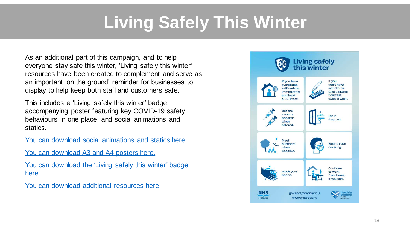# **Living Safely This Winter**

As an additional part of this campaign, and to help everyone stay safe this winter, 'Living safely this winter' resources have been created to complement and serve as an important 'on the ground' reminder for businesses to display to help keep both staff and customers safe.

This includes a 'Living safely this winter' badge, accompanying poster featuring key COVID-19 safety behaviours in one place, and social animations and statics.

[You can download social animations and statics here.](https://we.tl/t-W55M8VwQBw)

[You can download A3](https://we.tl/t-fkCHoTbdbg) and A4 posters here.

[You can download the 'Living safely this winter' badge](https://we.tl/t-ARLEmrJ6z6) here.

[You can download additional resources here.](https://we.tl/t-wPkc2EMGFD)

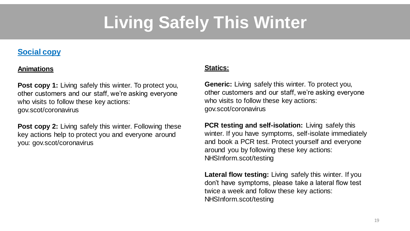# **Living Safely This Winter**

#### **Social copy**

#### **Animations**

**Post copy 1:** Living safely this winter. To protect you, other customers and our staff, we're asking everyone who visits to follow these key actions: gov.scot/coronavirus

**Post copy 2:** Living safely this winter. Following these key actions help to protect you and everyone around you: gov.scot/coronavirus

#### **Statics:**

**Generic:** Living safely this winter. To protect you, other customers and our staff, we're asking everyone who visits to follow these key actions: gov.scot/coronavirus

**PCR testing and self-isolation:** Living safely this winter. If you have symptoms, self-isolate immediately and book a PCR test. Protect yourself and everyone around you by following these key actions: NHSInform.scot/testing

**Lateral flow testing:** Living safely this winter. If you don't have symptoms, please take a lateral flow test twice a week and follow these key actions: NHSInform.scot/testing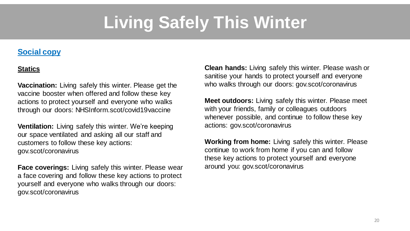# **Living Safely This Winter**

#### **Social copy**

#### **Statics**

**Vaccination:** Living safely this winter. Please get the vaccine booster when offered and follow these key actions to protect yourself and everyone who walks through our doors: NHSInform.scot/covid19vaccine

**Ventilation:** Living safely this winter. We're keeping our space ventilated and asking all our staff and customers to follow these key actions: gov.scot/coronavirus

**Face coverings:** Living safely this winter. Please wear a face covering and follow these key actions to protect yourself and everyone who walks through our doors: gov.scot/coronavirus

**Clean hands:** Living safely this winter. Please wash or sanitise your hands to protect yourself and everyone who walks through our doors: gov.scot/coronavirus

**Meet outdoors:** Living safely this winter. Please meet with your friends, family or colleagues outdoors whenever possible, and continue to follow these key actions: gov.scot/coronavirus

**Working from home:** Living safely this winter. Please continue to work from home if you can and follow these key actions to protect yourself and everyone around you: gov.scot/coronavirus